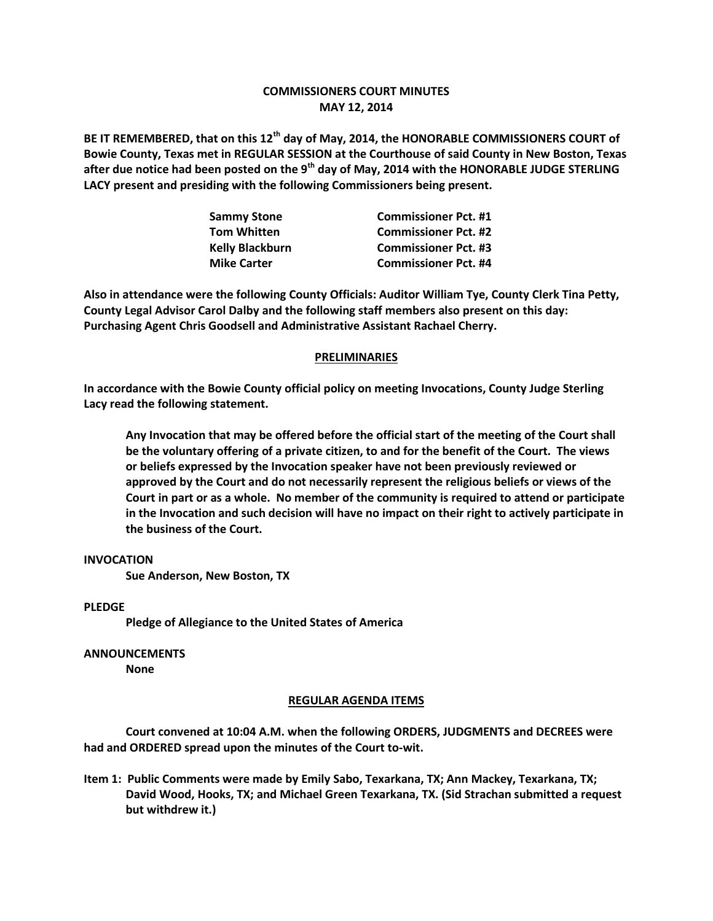## **COMMISSIONERS COURT MINUTES MAY 12, 2014**

**BE IT REMEMBERED, that on this 12th day of May, 2014, the HONORABLE COMMISSIONERS COURT of Bowie County, Texas met in REGULAR SESSION at the Courthouse of said County in New Boston, Texas after due notice had been posted on the 9th day of May, 2014 with the HONORABLE JUDGE STERLING LACY present and presiding with the following Commissioners being present.**

| <b>Sammy Stone</b>     | <b>Commissioner Pct. #1</b> |
|------------------------|-----------------------------|
| <b>Tom Whitten</b>     | <b>Commissioner Pct. #2</b> |
| <b>Kelly Blackburn</b> | <b>Commissioner Pct. #3</b> |
| <b>Mike Carter</b>     | <b>Commissioner Pct. #4</b> |

**Also in attendance were the following County Officials: Auditor William Tye, County Clerk Tina Petty, County Legal Advisor Carol Dalby and the following staff members also present on this day: Purchasing Agent Chris Goodsell and Administrative Assistant Rachael Cherry.**

## **PRELIMINARIES**

**In accordance with the Bowie County official policy on meeting Invocations, County Judge Sterling Lacy read the following statement.**

**Any Invocation that may be offered before the official start of the meeting of the Court shall be the voluntary offering of a private citizen, to and for the benefit of the Court. The views or beliefs expressed by the Invocation speaker have not been previously reviewed or approved by the Court and do not necessarily represent the religious beliefs or views of the Court in part or as a whole. No member of the community is required to attend or participate in the Invocation and such decision will have no impact on their right to actively participate in the business of the Court.**

## **INVOCATION**

**Sue Anderson, New Boston, TX**

**PLEDGE**

**Pledge of Allegiance to the United States of America**

**ANNOUNCEMENTS**

**None**

## **REGULAR AGENDA ITEMS**

**Court convened at 10:04 A.M. when the following ORDERS, JUDGMENTS and DECREES were had and ORDERED spread upon the minutes of the Court to-wit.**

**Item 1: Public Comments were made by Emily Sabo, Texarkana, TX; Ann Mackey, Texarkana, TX; David Wood, Hooks, TX; and Michael Green Texarkana, TX. (Sid Strachan submitted a request but withdrew it.)**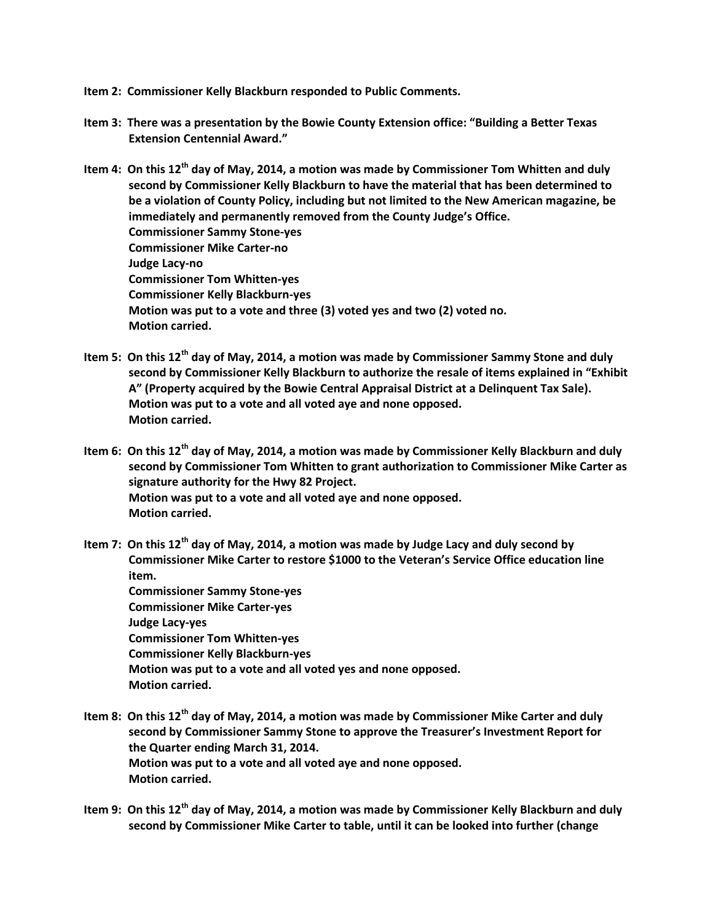- **Item 2: Commissioner Kelly Blackburn responded to Public Comments.**
- **Item 3: There was a presentation by the Bowie County Extension office: "Building a Better Texas Extension Centennial Award."**
- **Item 4: On this 12th day of May, 2014, a motion was made by Commissioner Tom Whitten and duly second by Commissioner Kelly Blackburn to have the material that has been determined to be a violation of County Policy, including but not limited to the New American magazine, be immediately and permanently removed from the County Judge's Office. Commissioner Sammy Stone-yes Commissioner Mike Carter-no Judge Lacy-no Commissioner Tom Whitten-yes Commissioner Kelly Blackburn-yes Motion was put to a vote and three (3) voted yes and two (2) voted no. Motion carried.**
- **Item 5: On this 12th day of May, 2014, a motion was made by Commissioner Sammy Stone and duly second by Commissioner Kelly Blackburn to authorize the resale of items explained in "Exhibit A" (Property acquired by the Bowie Central Appraisal District at a Delinquent Tax Sale). Motion was put to a vote and all voted aye and none opposed. Motion carried.**
- **Item 6: On this 12th day of May, 2014, a motion was made by Commissioner Kelly Blackburn and duly second by Commissioner Tom Whitten to grant authorization to Commissioner Mike Carter as signature authority for the Hwy 82 Project. Motion was put to a vote and all voted aye and none opposed. Motion carried.**
- **Item 7: On this 12th day of May, 2014, a motion was made by Judge Lacy and duly second by Commissioner Mike Carter to restore \$1000 to the Veteran's Service Office education line item. Commissioner Sammy Stone-yes Commissioner Mike Carter-yes Judge Lacy-yes Commissioner Tom Whitten-yes Commissioner Kelly Blackburn-yes Motion was put to a vote and all voted yes and none opposed.**
	- **Motion carried.**
- **Item 8: On this 12th day of May, 2014, a motion was made by Commissioner Mike Carter and duly second by Commissioner Sammy Stone to approve the Treasurer's Investment Report for the Quarter ending March 31, 2014. Motion was put to a vote and all voted aye and none opposed. Motion carried.**
- **Item 9: On this 12th day of May, 2014, a motion was made by Commissioner Kelly Blackburn and duly second by Commissioner Mike Carter to table, until it can be looked into further (change**